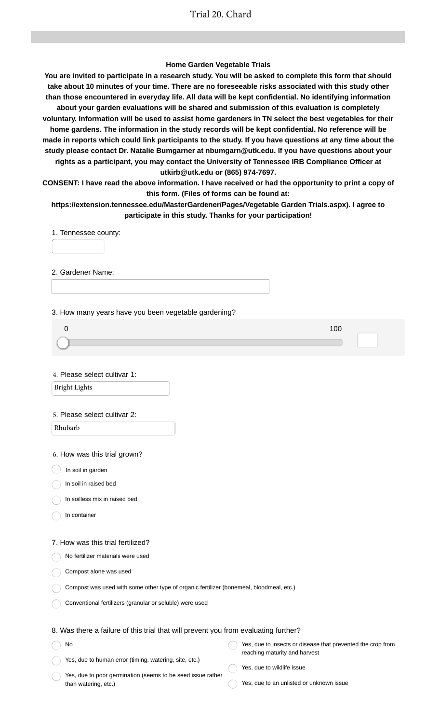### **Home Garden Vegetable Trials**

**You are invited to participate in a research study. You will be asked to complete this form that should take about 10 minutes of your time. There are no foreseeable risks associated with this study other than those encountered in everyday life. All data will be kept confidential. No identifying information about your garden evaluations will be shared and submission of this evaluation is completely voluntary. Information will be used to assist home gardeners in TN select the best vegetables for their home gardens. The information in the study records will be kept confidential. No reference will be made in reports which could link participants to the study. If you have questions at any time about the study please contact Dr. Natalie Bumgarner at nbumgarn@utk.edu. If you have questions about your rights as a participant, you may contact the University of Tennessee IRB Compliance Officer at utkirb@utk.edu or (865) 974-7697.**

**CONSENT: I have read the above information. I have received or had the opportunity to print a copy of this form. (Files of forms can be found at:**

**https://extension.tennessee.edu/MasterGardener/Pages/Vegetable Garden Trials.aspx). I agree to participate in this study. Thanks for your participation!**

1. Tennessee county:

2. Gardener Name:

3. How many years have you been vegetable gardening?

4. Please select cultivar 1:

Bright Lights

#### 5. Please select cultivar 2:

Rhubarb

6. How was this trial grown?

 $\big)$  In soil in garden

In soil in raised bed

In soilless mix in raised bed

In container

No

#### 7. How was this trial fertilized?

No fertilizer materials were used

Compost alone was used

|  |  |  |  |  |  | Compost was used with some other type of organic fertilizer (bonemeal, bloodmeal, etc.) |  |  |  |
|--|--|--|--|--|--|-----------------------------------------------------------------------------------------|--|--|--|
|--|--|--|--|--|--|-----------------------------------------------------------------------------------------|--|--|--|

Conventional fertilizers (granular or soluble) were used

## 8. Was there a failure of this trial that will prevent you from evaluating further?

| No                                                     | Yes, due to insects or disease that prevented the crop from |
|--------------------------------------------------------|-------------------------------------------------------------|
|                                                        | reaching maturity and harvest                               |
| Yes, due to human error (timing, watering, site, etc.) |                                                             |

Yes, due to poor germination (seems to be seed issue rather than watering, etc.)

Yes, due to wildlife issue

Yes, due to an unlisted or unknown issue